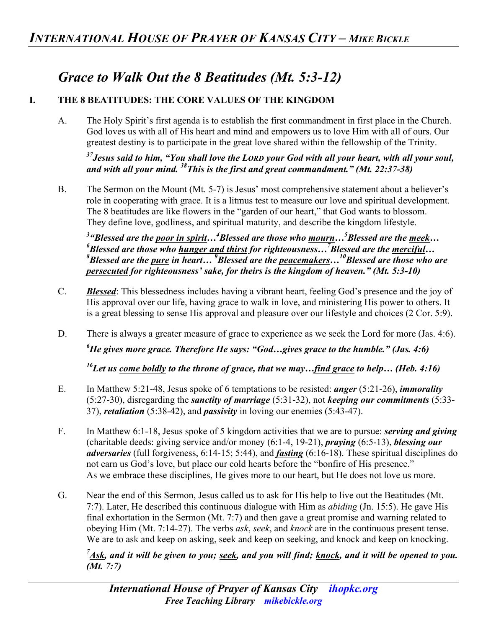# *Grace to Walk Out the 8 Beatitudes (Mt. 5:3-12)*

#### **I. THE 8 BEATITUDES: THE CORE VALUES OF THE KINGDOM**

A. The Holy Spirit's first agenda is to establish the first commandment in first place in the Church. God loves us with all of His heart and mind and empowers us to love Him with all of ours. Our greatest destiny is to participate in the great love shared within the fellowship of the Trinity.

*37Jesus said to him, "You shall love the LORD your God with all your heart, with all your soul, and with all your mind. 38This is the first and great commandment." (Mt. 22:37-38)* 

B. The Sermon on the Mount (Mt. 5-7) is Jesus' most comprehensive statement about a believer's role in cooperating with grace. It is a litmus test to measure our love and spiritual development. The 8 beatitudes are like flowers in the "garden of our heart," that God wants to blossom. They define love, godliness, and spiritual maturity, and describe the kingdom lifestyle.

<sup>3</sup> "Blessed are the <u>poor in spirit</u>...<sup>4</sup> Blessed are those who <u>mourn</u>...<sup>5</sup> Blessed are the <u>meek</u>...<br><sup>6</sup> Plassed are those who hunger and thirst for rightsousness. <sup>7</sup> Plassed are the mergiful *Blessed are those who hunger and thirst for righteousness…7 Blessed are the merciful… 8 Blessed are the pure in heart...* <sup>9</sup> *Blessed are the peacemakers...*<sup>10</sup> Blessed are those who are *persecuted for righteousness' sake, for theirs is the kingdom of heaven." (Mt. 5:3-10)* 

- C. *Blessed*: This blessedness includes having a vibrant heart, feeling God's presence and the joy of His approval over our life, having grace to walk in love, and ministering His power to others. It is a great blessing to sense His approval and pleasure over our lifestyle and choices (2 Cor. 5:9).
- D. There is always a greater measure of grace to experience as we seek the Lord for more (Jas. 4:6). *6 He gives more grace. Therefore He says: "God…gives grace to the humble." (Jas. 4:6)*

*16Let us come boldly to the throne of grace, that we may…find grace to help… (Heb. 4:16)* 

- E. In Matthew 5:21-48, Jesus spoke of 6 temptations to be resisted: *anger* (5:21-26), *immorality*  (5:27-30), disregarding the *sanctity of marriage* (5:31-32), not *keeping our commitments* (5:33- 37), *retaliation* (5:38-42), and *passivity* in loving our enemies (5:43-47).
- F. In Matthew 6:1-18, Jesus spoke of 5 kingdom activities that we are to pursue: *serving and giving* (charitable deeds: giving service and/or money (6:1-4, 19-21), *praying* (6:5-13), *blessing our adversaries* (full forgiveness, 6:14-15; 5:44), and *fasting* (6:16-18). These spiritual disciplines do not earn us God's love, but place our cold hearts before the "bonfire of His presence." As we embrace these disciplines, He gives more to our heart, but He does not love us more.
- G. Near the end of this Sermon, Jesus called us to ask for His help to live out the Beatitudes (Mt. 7:7). Later, He described this continuous dialogue with Him as *abiding* (Jn. 15:5). He gave His final exhortation in the Sermon (Mt. 7:7) and then gave a great promise and warning related to obeying Him (Mt. 7:14-27). The verbs *ask*, *seek*, and *knock* are in the continuous present tense. We are to ask and keep on asking, seek and keep on seeking, and knock and keep on knocking.

*7 Ask, and it will be given to you; seek, and you will find; knock, and it will be opened to you. (Mt. 7:7)*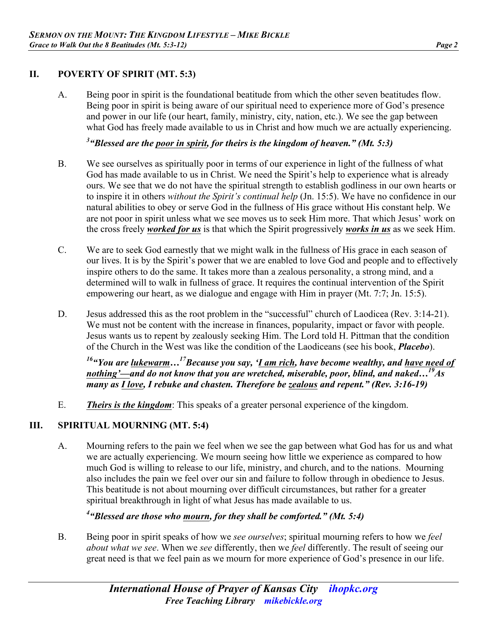## **II. POVERTY OF SPIRIT (MT. 5:3)**

A. Being poor in spirit is the foundational beatitude from which the other seven beatitudes flow. Being poor in spirit is being aware of our spiritual need to experience more of God's presence and power in our life (our heart, family, ministry, city, nation, etc.). We see the gap between what God has freely made available to us in Christ and how much we are actually experiencing.

*3 "Blessed are the poor in spirit, for theirs is the kingdom of heaven." (Mt. 5:3)* 

- B. We see ourselves as spiritually poor in terms of our experience in light of the fullness of what God has made available to us in Christ. We need the Spirit's help to experience what is already ours. We see that we do not have the spiritual strength to establish godliness in our own hearts or to inspire it in others *without the Spirit's continual help* (Jn. 15:5). We have no confidence in our natural abilities to obey or serve God in the fullness of His grace without His constant help. We are not poor in spirit unless what we see moves us to seek Him more. That which Jesus' work on the cross freely *worked for us* is that which the Spirit progressively *works in us* as we seek Him.
- C. We are to seek God earnestly that we might walk in the fullness of His grace in each season of our lives. It is by the Spirit's power that we are enabled to love God and people and to effectively inspire others to do the same. It takes more than a zealous personality, a strong mind, and a determined will to walk in fullness of grace. It requires the continual intervention of the Spirit empowering our heart, as we dialogue and engage with Him in prayer (Mt. 7:7; Jn. 15:5).
- D. Jesus addressed this as the root problem in the "successful" church of Laodicea (Rev. 3:14-21). We must not be content with the increase in finances, popularity, impact or favor with people. Jesus wants us to repent by zealously seeking Him. The Lord told H. Pittman that the condition of the Church in the West was like the condition of the Laodiceans (see his book, *Placebo*).

*16"You are lukewarm…17Because you say, 'I am rich, have become wealthy, and have need of nothing'—and do not know that you are wretched, miserable, poor, blind, and naked…19As many as I love, I rebuke and chasten. Therefore be zealous and repent." (Rev. 3:16-19)* 

E. *Theirs is the kingdom*: This speaks of a greater personal experience of the kingdom.

## **III. SPIRITUAL MOURNING (MT. 5:4)**

A. Mourning refers to the pain we feel when we see the gap between what God has for us and what we are actually experiencing. We mourn seeing how little we experience as compared to how much God is willing to release to our life, ministry, and church, and to the nations. Mourning also includes the pain we feel over our sin and failure to follow through in obedience to Jesus. This beatitude is not about mourning over difficult circumstances, but rather for a greater spiritual breakthrough in light of what Jesus has made available to us.

# *4 "Blessed are those who mourn, for they shall be comforted." (Mt. 5:4)*

B. Being poor in spirit speaks of how we *see ourselves*; spiritual mourning refers to how we *feel about what we see*. When we *see* differently, then we *feel* differently. The result of seeing our great need is that we feel pain as we mourn for more experience of God's presence in our life.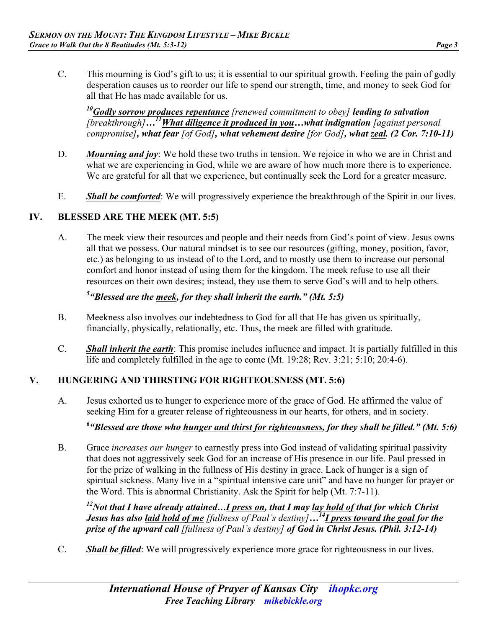- 
- C. This mourning is God's gift to us; it is essential to our spiritual growth. Feeling the pain of godly desperation causes us to reorder our life to spend our strength, time, and money to seek God for all that He has made available for us.

*10Godly sorrow produces repentance [renewed commitment to obey] leading to salvation [breakthrough]…11What diligence it produced in you…what indignation [against personal compromise], what fear [of God], what vehement desire [for God], what zeal. (2 Cor. 7:10-11)*

- D. *Mourning and joy*: We hold these two truths in tension. We rejoice in who we are in Christ and what we are experiencing in God, while we are aware of how much more there is to experience. We are grateful for all that we experience, but continually seek the Lord for a greater measure.
- E. *Shall be comforted*: We will progressively experience the breakthrough of the Spirit in our lives.

#### **IV. BLESSED ARE THE MEEK (MT. 5:5)**

A. The meek view their resources and people and their needs from God's point of view. Jesus owns all that we possess. Our natural mindset is to see our resources (gifting, money, position, favor, etc.) as belonging to us instead of to the Lord, and to mostly use them to increase our personal comfort and honor instead of using them for the kingdom. The meek refuse to use all their resources on their own desires; instead, they use them to serve God's will and to help others.

## *5 "Blessed are the meek, for they shall inherit the earth." (Mt. 5:5)*

- B. Meekness also involves our indebtedness to God for all that He has given us spiritually, financially, physically, relationally, etc. Thus, the meek are filled with gratitude.
- C. *Shall inherit the earth*: This promise includes influence and impact. It is partially fulfilled in this life and completely fulfilled in the age to come (Mt. 19:28; Rev. 3:21; 5:10; 20:4-6).

## **V. HUNGERING AND THIRSTING FOR RIGHTEOUSNESS (MT. 5:6)**

A. Jesus exhorted us to hunger to experience more of the grace of God. He affirmed the value of seeking Him for a greater release of righteousness in our hearts, for others, and in society.

# *6 "Blessed are those who hunger and thirst for righteousness, for they shall be filled." (Mt. 5:6)*

B. Grace *increases our hunger* to earnestly press into God instead of validating spiritual passivity that does not aggressively seek God for an increase of His presence in our life. Paul pressed in for the prize of walking in the fullness of His destiny in grace. Lack of hunger is a sign of spiritual sickness. Many live in a "spiritual intensive care unit" and have no hunger for prayer or the Word. This is abnormal Christianity. Ask the Spirit for help (Mt. 7:7-11).

*12Not that I have already attained…I press on, that I may lay hold of that for which Christ Jesus has also laid hold of me [fullness of Paul's destiny]…14I press toward the goal for the prize of the upward call [fullness of Paul's destiny] of God in Christ Jesus. (Phil. 3:12-14)*

C. *Shall be filled*: We will progressively experience more grace for righteousness in our lives.